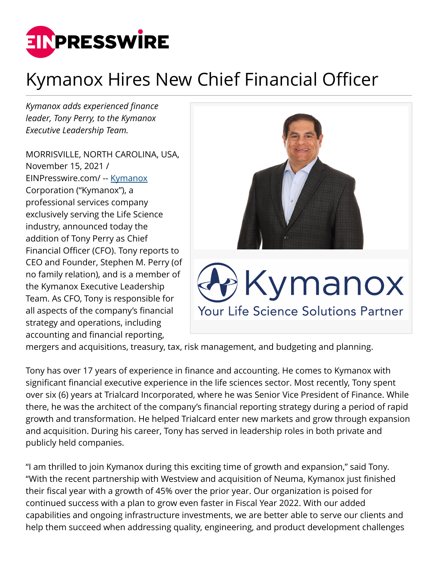

## Kymanox Hires New Chief Financial Officer

*Kymanox adds experienced finance leader, Tony Perry, to the Kymanox Executive Leadership Team.*

MORRISVILLE, NORTH CAROLINA, USA, November 15, 2021 / [EINPresswire.com](http://www.einpresswire.com)/ -- [Kymanox](https://www.kymanox.com/) Corporation ("Kymanox"), a professional services company exclusively serving the Life Science industry, announced today the addition of Tony Perry as Chief Financial Officer (CFO). Tony reports to CEO and Founder, Stephen M. Perry (of no family relation), and is a member of the Kymanox Executive Leadership Team. As CFO, Tony is responsible for all aspects of the company's financial strategy and operations, including accounting and financial reporting,



mergers and acquisitions, treasury, tax, risk management, and budgeting and planning.

Tony has over 17 years of experience in finance and accounting. He comes to Kymanox with significant financial executive experience in the life sciences sector. Most recently, Tony spent over six (6) years at Trialcard Incorporated, where he was Senior Vice President of Finance. While there, he was the architect of the company's financial reporting strategy during a period of rapid growth and transformation. He helped Trialcard enter new markets and grow through expansion and acquisition. During his career, Tony has served in leadership roles in both private and publicly held companies.

"I am thrilled to join Kymanox during this exciting time of growth and expansion," said Tony. "With the recent partnership with Westview and acquisition of Neuma, Kymanox just finished their fiscal year with a growth of 45% over the prior year. Our organization is poised for continued success with a plan to grow even faster in Fiscal Year 2022. With our added capabilities and ongoing infrastructure investments, we are better able to serve our clients and help them succeed when addressing quality, engineering, and product development challenges